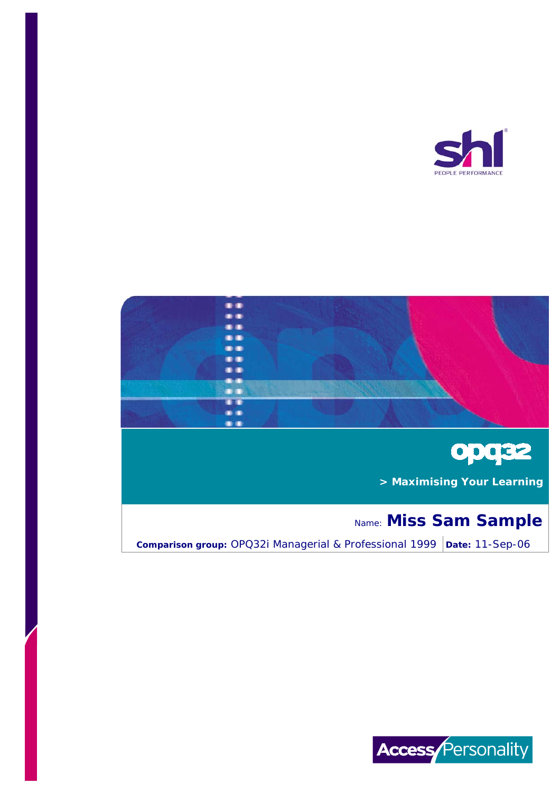





 **> Maximising Your Learning**

# Name: **Miss Sam Sample**

**Comparison group:** OPQ32i Managerial & Professional 1999 | Date: 11-Sep-06

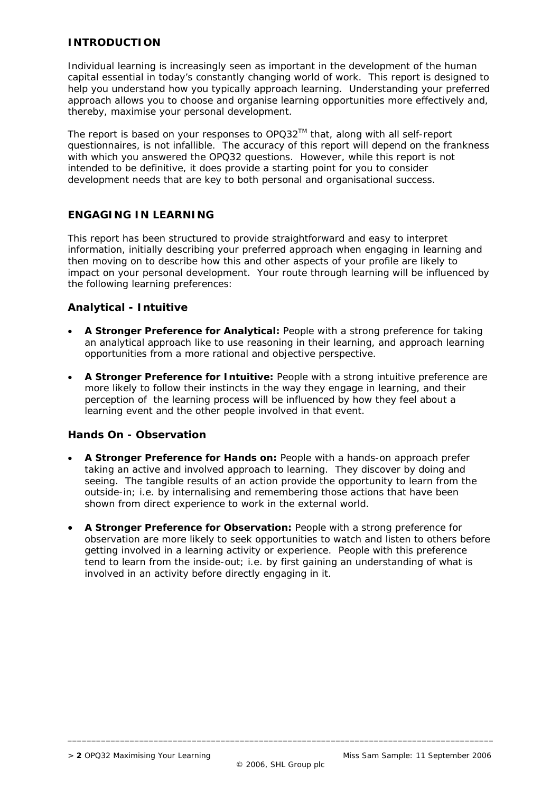## **INTRODUCTION**

Individual learning is increasingly seen as important in the development of the human capital essential in today's constantly changing world of work. This report is designed to help you understand how you typically approach learning. Understanding your preferred approach allows you to choose and organise learning opportunities more effectively and, thereby, maximise your personal development.

The report is based on your responses to  $OPQ32^{TM}$  that, along with all self-report questionnaires, is not infallible. The accuracy of this report will depend on the frankness with which you answered the OPQ32 questions. However, while this report is not intended to be definitive, it does provide a starting point for you to consider development needs that are key to both personal and organisational success.

## **ENGAGING IN LEARNING**

This report has been structured to provide straightforward and easy to interpret information, initially describing your preferred approach when engaging in learning and then moving on to describe how this and other aspects of your profile are likely to impact on your personal development. Your route through learning will be influenced by the following learning preferences:

## **Analytical - Intuitive**

- **A Stronger Preference for Analytical:** People with a strong preference for taking an analytical approach like to use reasoning in their learning, and approach learning opportunities from a more rational and objective perspective.
- **A Stronger Preference for Intuitive:** People with a strong intuitive preference are more likely to follow their instincts in the way they engage in learning, and their perception of the learning process will be influenced by how they feel about a learning event and the other people involved in that event.

## **Hands On - Observation**

- **A Stronger Preference for Hands on:** People with a hands-on approach prefer taking an active and involved approach to learning. They discover by doing and seeing. The tangible results of an action provide the opportunity to learn from the *outside-in*; i.e. by internalising and remembering those actions that have been shown from direct experience to work in the external world.
- **A Stronger Preference for Observation:** People with a strong preference for observation are more likely to seek opportunities to watch and listen to others before getting involved in a learning activity or experience. People with this preference tend to learn from the *inside-out*; i.e. by first gaining an understanding of what is involved in an activity before directly engaging in it.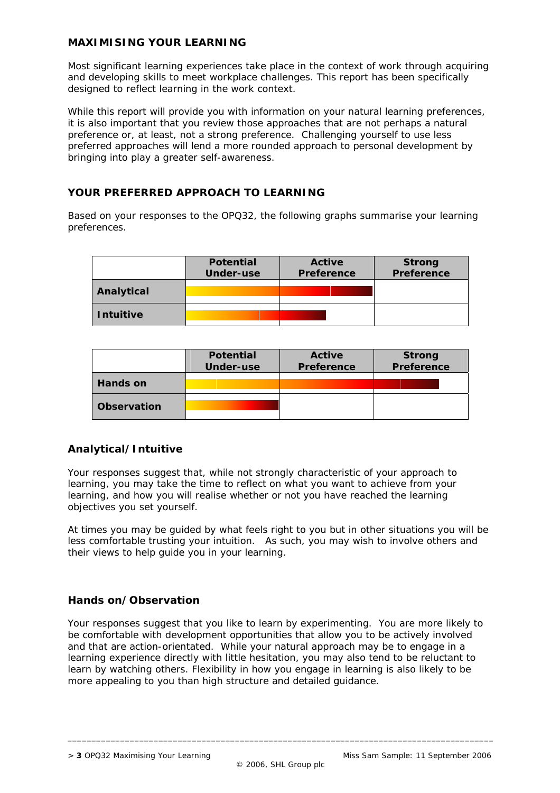## **MAXIMISING YOUR LEARNING**

Most significant learning experiences take place in the context of work through acquiring and developing skills to meet workplace challenges. This report has been specifically designed to reflect learning in the work context.

While this report will provide you with information on your natural learning preferences, it is also important that you review those approaches that are not perhaps a natural preference or, at least, not a strong preference. Challenging yourself to use less preferred approaches will lend a more rounded approach to personal development by bringing into play a greater self-awareness.

## **YOUR PREFERRED APPROACH TO LEARNING**

Based on your responses to the OPQ32, the following graphs summarise your learning preferences.

|                  | <b>Potential</b><br><b>Under-use</b> | <b>Active</b><br>Preference | <b>Strong</b><br>Preference |
|------------------|--------------------------------------|-----------------------------|-----------------------------|
| Analytical       |                                      |                             |                             |
| <b>Intuitive</b> |                                      |                             |                             |

|                    | <b>Potential</b><br>Under-use | Active<br>Preference | <b>Strong</b><br>Preference |
|--------------------|-------------------------------|----------------------|-----------------------------|
| Hands on           |                               |                      |                             |
| <b>Observation</b> |                               |                      |                             |

## **Analytical/Intuitive**

Your responses suggest that, while not strongly characteristic of your approach to learning, you may take the time to reflect on what you want to achieve from your learning, and how you will realise whether or not you have reached the learning objectives you set yourself.

At times you may be guided by what feels right to you but in other situations you will be less comfortable trusting your intuition. As such, you may wish to involve others and their views to help guide you in your learning.

## **Hands on/Observation**

Your responses suggest that you like to learn by experimenting. You are more likely to be comfortable with development opportunities that allow you to be actively involved and that are action-orientated. While your natural approach may be to engage in a learning experience directly with little hesitation, you may also tend to be reluctant to learn by watching others. Flexibility in how you engage in learning is also likely to be more appealing to you than high structure and detailed guidance.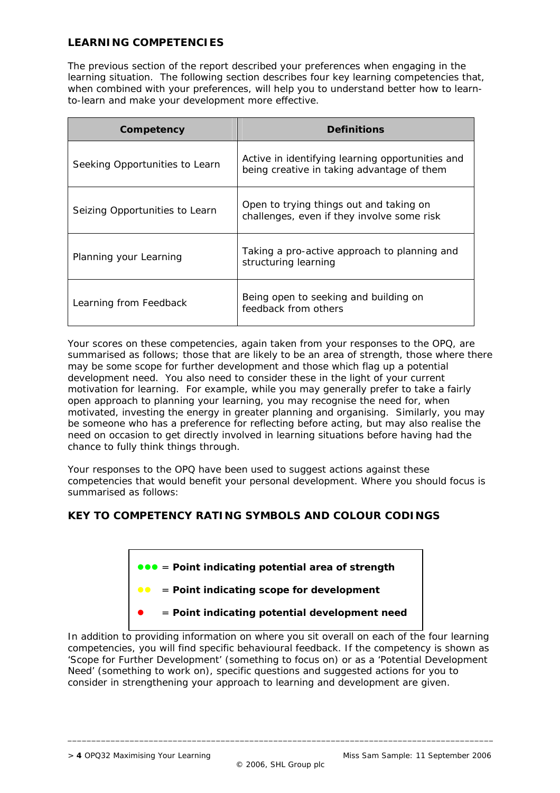# **LEARNING COMPETENCIES**

The previous section of the report described your preferences when engaging in the learning situation. The following section describes four key learning competencies that, when combined with your preferences, will help you to understand better how to learnto-learn and make your development more effective.

| Competency                     | <b>Definitions</b>                                                                             |  |
|--------------------------------|------------------------------------------------------------------------------------------------|--|
| Seeking Opportunities to Learn | Active in identifying learning opportunities and<br>being creative in taking advantage of them |  |
| Seizing Opportunities to Learn | Open to trying things out and taking on<br>challenges, even if they involve some risk          |  |
| Planning your Learning         | Taking a pro-active approach to planning and<br>structuring learning                           |  |
| Learning from Feedback         | Being open to seeking and building on<br>feedback from others                                  |  |

Your scores on these competencies, again taken from your responses to the OPQ, are summarised as follows; those that are likely to be an area of strength, those where there may be some scope for further development and those which flag up a potential development need. You also need to consider these in the light of your current motivation for learning. For example, while you may generally prefer to take a fairly open approach to planning your learning, you may recognise the need for, when motivated, investing the energy in greater planning and organising. Similarly, you may be someone who has a preference for reflecting before acting, but may also realise the need on occasion to get directly involved in learning situations before having had the chance to fully think things through.

Your responses to the OPQ have been used to suggest actions against these competencies that would benefit your personal development. Where you should focus is summarised as follows:

## **KEY TO COMPETENCY RATING SYMBOLS AND COLOUR CODINGS**



In addition to providing information on where you sit overall on each of the four learning competencies, you will find specific behavioural feedback. If the competency is shown as 'Scope for Further Development' (something to focus on) or as a 'Potential Development Need' (something to work on), specific questions and suggested actions for you to consider in strengthening your approach to learning and development are given.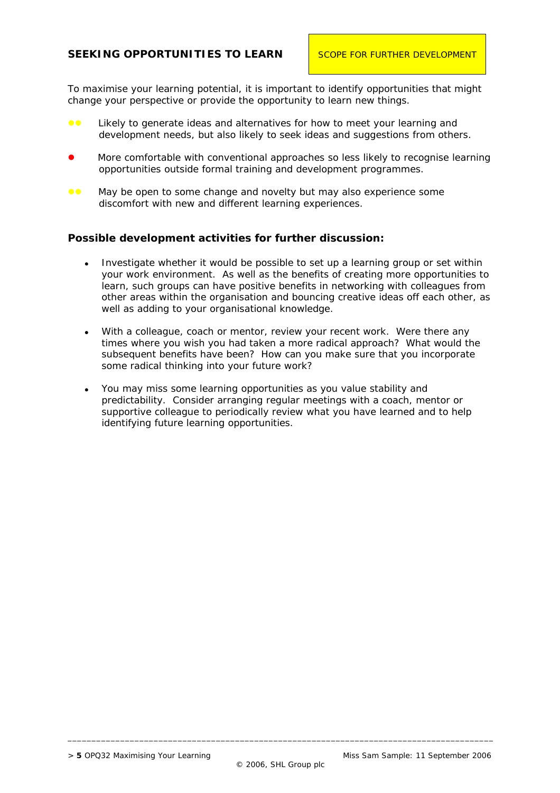## **SEEKING OPPORTUNITIES TO LEARN | SCOPE FOR FURTHER DEVELOPMENT**

To maximise your learning potential, it is important to identify opportunities that might change your perspective or provide the opportunity to learn new things.

- **•** Likely to generate ideas and alternatives for how to meet your learning and development needs, but also likely to seek ideas and suggestions from others.
- More comfortable with conventional approaches so less likely to recognise learning opportunities outside formal training and development programmes.
- **EXECT** May be open to some change and novelty but may also experience some discomfort with new and different learning experiences.

#### **Possible development activities for further discussion:**

- Investigate whether it would be possible to set up a learning group or set within your work environment. As well as the benefits of creating more opportunities to learn, such groups can have positive benefits in networking with colleagues from other areas within the organisation and bouncing creative ideas off each other, as well as adding to your organisational knowledge.
- With a colleague, coach or mentor, review your recent work. Were there any times where you wish you had taken a more radical approach? What would the subsequent benefits have been? How can you make sure that you incorporate some radical thinking into your future work?
- You may miss some learning opportunities as you value stability and predictability. Consider arranging regular meetings with a coach, mentor or supportive colleague to periodically review what you have learned and to help identifying future learning opportunities.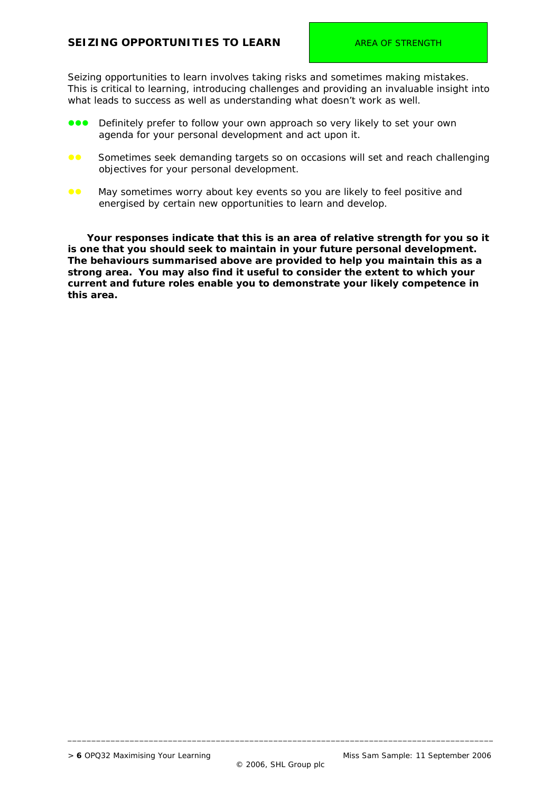## **SEIZING OPPORTUNITIES TO LEARN AREA OF STRENGTH**

Seizing opportunities to learn involves taking risks and sometimes making mistakes. This is critical to learning, introducing challenges and providing an invaluable insight into what leads to success as well as understanding what doesn't work as well.

- **zzoz** Definitely prefer to follow your own approach so very likely to set your own agenda for your personal development and act upon it.
- **•** Sometimes seek demanding targets so on occasions will set and reach challenging objectives for your personal development.
- **••** May sometimes worry about key events so you are likely to feel positive and energised by certain new opportunities to learn and develop.

 **Your responses indicate that this is an area of relative strength for you so it is one that you should seek to maintain in your future personal development. The behaviours summarised above are provided to help you maintain this as a strong area. You may also find it useful to consider the extent to which your current and future roles enable you to demonstrate your likely competence in this area.**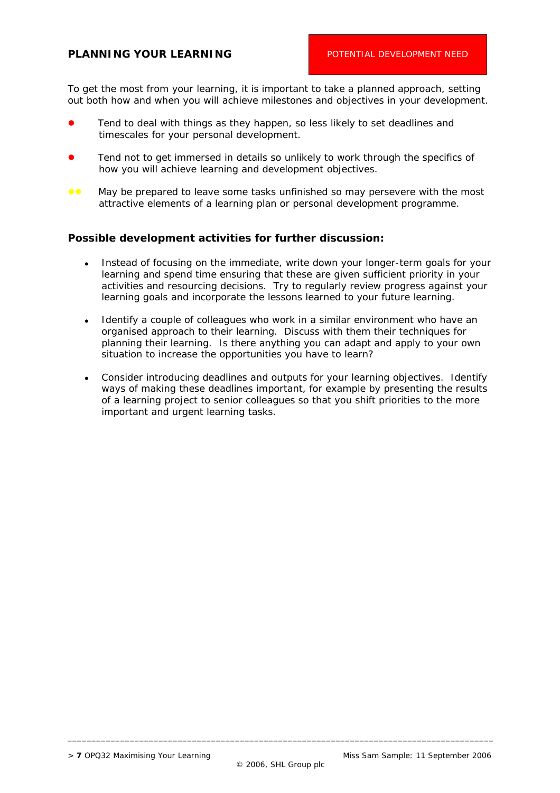## **PLANNING YOUR LEARNING** POTENTIAL DEVELOPMENT NEED

To get the most from your learning, it is important to take a planned approach, setting out both how and when you will achieve milestones and objectives in your development.

- Tend to deal with things as they happen, so less likely to set deadlines and timescales for your personal development.
- Tend not to get immersed in details so unlikely to work through the specifics of how you will achieve learning and development objectives.
- **EXECT** May be prepared to leave some tasks unfinished so may persevere with the most attractive elements of a learning plan or personal development programme.

#### **Possible development activities for further discussion:**

- Instead of focusing on the immediate, write down your longer-term goals for your learning and spend time ensuring that these are given sufficient priority in your activities and resourcing decisions. Try to regularly review progress against your learning goals and incorporate the lessons learned to your future learning.
- Identify a couple of colleagues who work in a similar environment who have an organised approach to their learning. Discuss with them their techniques for planning their learning. Is there anything you can adapt and apply to your own situation to increase the opportunities you have to learn?
- Consider introducing deadlines and outputs for your learning objectives. Identify ways of making these deadlines important, for example by presenting the results of a learning project to senior colleagues so that you shift priorities to the more important and urgent learning tasks.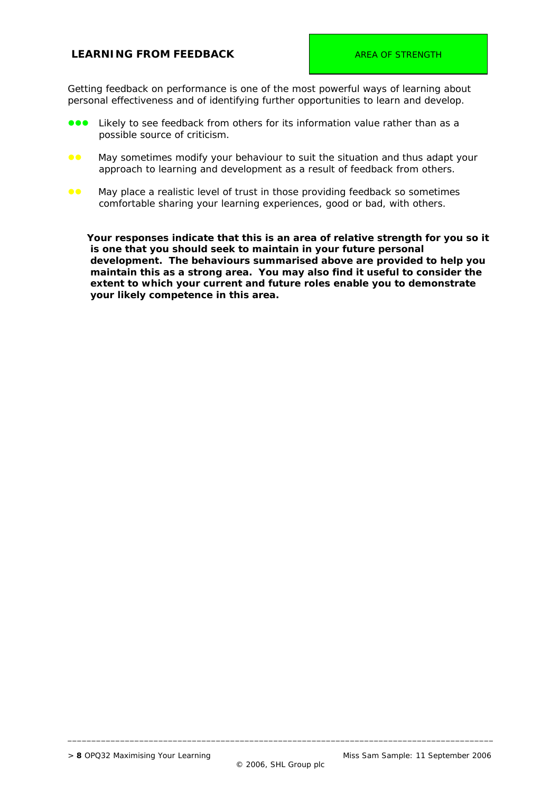## **LEARNING FROM FEEDBACK AREA OF STRENGTH**

Getting feedback on performance is one of the most powerful ways of learning about personal effectiveness and of identifying further opportunities to learn and develop.

- Likely to see feedback from others for its information value rather than as a possible source of criticism.
- **CO** May sometimes modify your behaviour to suit the situation and thus adapt your approach to learning and development as a result of feedback from others.
- **••** May place a realistic level of trust in those providing feedback so sometimes comfortable sharing your learning experiences, good or bad, with others.

 **Your responses indicate that this is an area of relative strength for you so it is one that you should seek to maintain in your future personal development. The behaviours summarised above are provided to help you maintain this as a strong area. You may also find it useful to consider the extent to which your current and future roles enable you to demonstrate your likely competence in this area.**